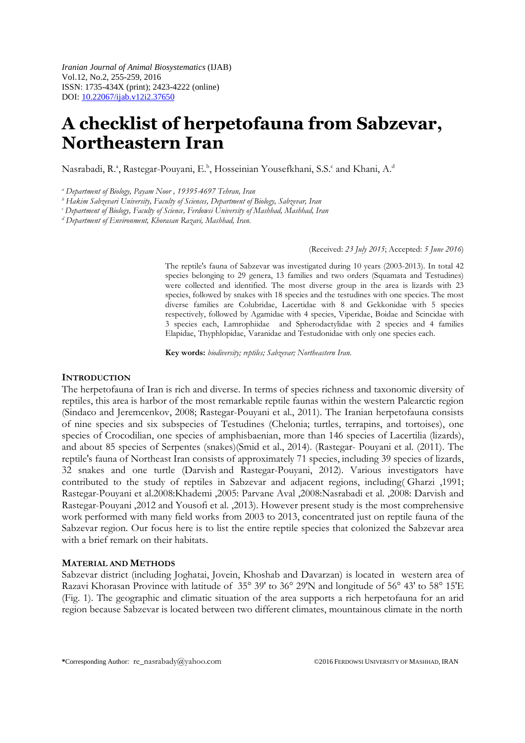*Iranian Journal of Animal Biosystematics* (IJAB) Vol.12, No.2, 255-259, 2016 ISSN: 1735-434X (print); 2423-4222 (online) DOI: 10.22067/ijab.v12i2.37650

# **A checklist of herpetofauna from Sabzevar, Northeastern Iran**

Nasrabadi, R.ª, Rastegar-Pouyani, E.b, Hosseinian Yousefkhani, S.S.c and Khani, A.d

*<sup>a</sup> Department of Biology, Payam Noor , 19395-4697 Tehran, Iran* 

*<sup>b</sup> Hakim Sabzevari University, Faculty of Sciences, Department of Biology, Sabzevar, Iran* 

*<sup>c</sup> Department of Biology, Faculty of Science, Ferdowsi University of Mashhad, Mashhad, Iran* 

*<sup>d</sup> Department of Environment, Khorasan Razavi, Mashhad, Iran.* 

#### (Received: *23 July 2015*; Accepted: *5 June 2016*)

The reptile's fauna of Sabzevar was investigated during 10 years (2003-2013). In total 42 species belonging to 29 genera, 13 families and two orders (Squamata and Testudines) were collected and identified. The most diverse group in the area is lizards with 23 species, followed by snakes with 18 species and the testudines with one species. The most diverse families are Colubridae, Lacertidae with 8 and Gekkonidae with 5 species respectively, followed by Agamidae with 4 species, Viperidae, Boidae and Scincidae with 3 species each, Lamrophiidae and Spherodactylidae with 2 species and 4 families Elapidae, Thyphlopidae, Varanidae and Testudonidae with only one species each.

**Key words:** *biodiversity; reptiles; Sabzevar; Northeastern Iran.*

#### **INTRODUCTION**

The herpetofauna of Iran is rich and diverse. In terms of species richness and taxonomic diversity of reptiles, this area is harbor of the most remarkable reptile faunas within the western Palearctic region (Sindaco and Jeremcenkov, 2008; Rastegar-Pouyani et al., 2011). The Iranian herpetofauna consists of nine species and six subspecies of Testudines (Chelonia; turtles, terrapins, and tortoises), one species of Crocodilian, one species of amphisbaenian, more than 146 species of Lacertilia (lizards), and about 85 species of Serpentes (snakes)(Smid et al., 2014). (Rastegar- Pouyani et al. (2011). The reptile's fauna of Northeast Iran consists of approximately 71 species, including 39 species of lizards, 32 snakes and one turtle (Darvish and Rastegar-Pouyani, 2012). Various investigators have contributed to the study of reptiles in Sabzevar and adjacent regions, including( Gharzi ,1991; Rastegar-Pouyani et al.2008:Khademi ,2005: Parvane Aval ,2008:Nasrabadi et al. ,2008: Darvish and Rastegar-Pouyani ,2012 and Yousofi et al. ,2013). However present study is the most comprehensive work performed with many field works from 2003 to 2013, concentrated just on reptile fauna of the Sabzevar region. Our focus here is to list the entire reptile species that colonized the Sabzevar area with a brief remark on their habitats.

#### **MATERIAL AND METHODS**

Sabzevar district (including Joghatai, Jovein, Khoshab and Davarzan) is located in western area of Razavi Khorasan Province with latitude of 35° 39' to 36° 29'N and longitude of 56° 43' to 58° 15'E (Fig. 1). The geographic and climatic situation of the area supports a rich herpetofauna for an arid region because Sabzevar is located between two different climates, mountainous climate in the north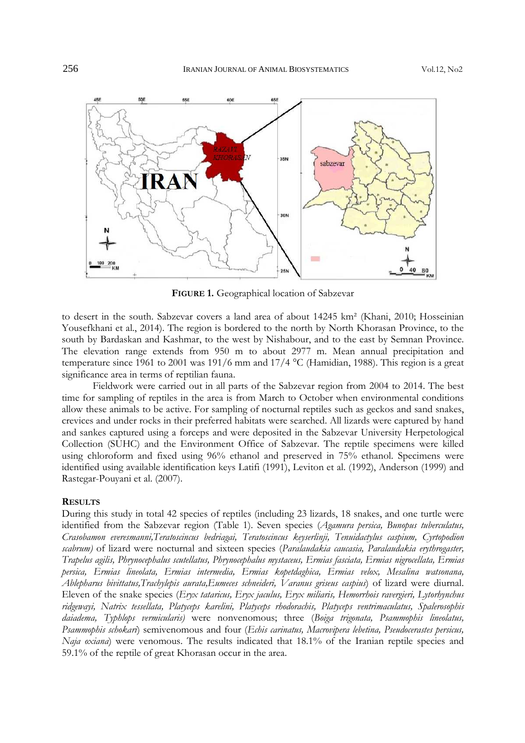

**FIGURE 1.** Geographical location of Sabzevar

to desert in the south. Sabzevar covers a land area of about 14245 km² (Khani, 2010; Hosseinian Yousefkhani et al., 2014). The region is bordered to the north by North Khorasan Province, to the south by Bardaskan and Kashmar, to the west by Nishabour, and to the east by Semnan Province. The elevation range extends from 950 m to about 2977 m. Mean annual precipitation and temperature since 1961 to 2001 was 191/6 mm and 17/4 °C (Hamidian, 1988). This region is a great significance area in terms of reptilian fauna.

Fieldwork were carried out in all parts of the Sabzevar region from 2004 to 2014. The best time for sampling of reptiles in the area is from March to October when environmental conditions allow these animals to be active. For sampling of nocturnal reptiles such as geckos and sand snakes, crevices and under rocks in their preferred habitats were searched. All lizards were captured by hand and sankes captured using a forceps and were deposited in the Sabzevar University Herpetological Collection (SUHC) and the Environment Office of Sabzevar. The reptile specimens were killed using chloroform and fixed using 96% ethanol and preserved in 75% ethanol. Specimens were identified using available identification keys Latifi (1991), Leviton et al. (1992), Anderson (1999) and Rastegar-Pouyani et al. (2007).

# **RESULTS**

During this study in total 42 species of reptiles (including 23 lizards, 18 snakes, and one turtle were identified from the Sabzevar region (Table 1). Seven species (*Agamura persica, Bunopus tuberculatus, Crasobamon everesmanni,Teratoscincus bedriagai, Teratoscincus keyserlinji, Tenuidactylus caspium, Cyrtopodion scabrum)* of lizard were nocturnal and sixteen species (*Paralaudakia caucasia, Paralaudakia erythrogaster, Trapelus agilis, Phrynocephalus scutellatus, Phrynocephalus mystaceus, Ermias fasciata, Ermias nigrocellata, Ermias persica, Ermias lineolata, Ermias intermedia, Ermias kopetdaghica, Ermias velox, Mesalina watsonana, Ablepharus bivittatus,Trachylepis aurata,Eumeces schneideri, Varanus griseus caspius*) of lizard were diurnal. Eleven of the snake species (*Eryx tataricus, Eryx jaculus, Eryx miliaris, Hemorrhois ravergieri, Lytorhynchus ridgewayi, Natrix tessellata, Platyceps karelini, Platyceps rhodorachis, Platyceps ventrimaculatus, Spalerosophis daiadema, Typhlops vermicularis)* were nonvenomous; three (*Boiga trigonata, Psammophis lineolatus, Psammophis schokari*) semivenomous and four (*Echis carinatus, Macrovipera lebetina, Pseudocerastes persicus, Naja oxiana*) were venomous. The results indicated that 18.1% of the Iranian reptile species and 59.1% of the reptile of great Khorasan occur in the area.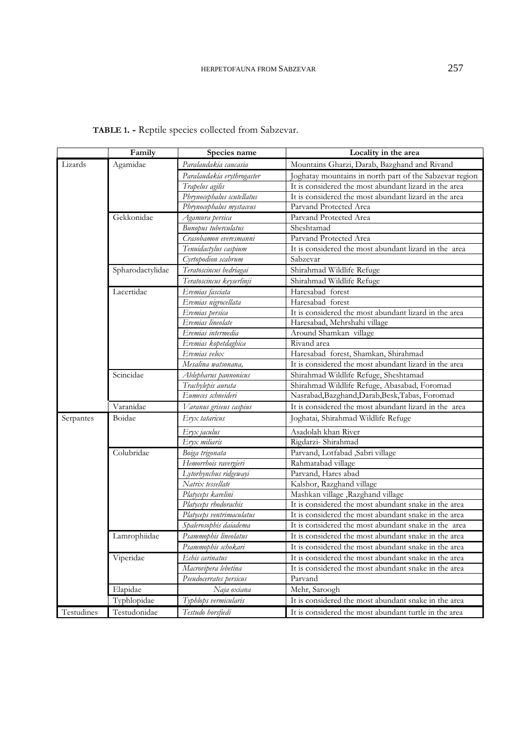# **TABLE 1. -** Reptile species collected from Sabzevar.

|            | Family           | Species name               | Locality in the area                                    |
|------------|------------------|----------------------------|---------------------------------------------------------|
| Lizards    | Agamidae         | Paralaudakia caucasia      | Mountains Gharzi, Darab, Bazghand and Rivand            |
|            |                  | Paralaudakia erythrogaster | Joghatay mountains in north part of the Sabzevar region |
|            |                  | Trapelus agilis            | It is considered the most abundant lizard in the area   |
|            |                  | Phrynocephalus scutellatus | It is considered the most abundant lizard in the area   |
|            |                  | Phrynocephalus mystaceus   | Parvand Protected Area                                  |
|            | Gekkonidae       | Agamura persica            | Parvand Protected Area                                  |
|            |                  | Bunopus tuberculatus       | Sheshtamad                                              |
|            |                  | Crasobamon everesmanni     | Parvand Protected Area                                  |
|            |                  | Tenuidactylus caspium      | It is considered the most abundant lizard in the area   |
|            |                  | Cyrtopodion scabrum        | Sabzevar                                                |
|            | Spharodactylidae | Teratoscincus bedriagai    | Shirahmad Wildlife Refuge                               |
|            |                  | Teratoscincus keyserlinji  | Shirahmad Wildlife Refuge                               |
|            | Lacertidae       | Eremias fasciata           | Haresabad forest                                        |
|            |                  | Eremias nigrocellata       | Haresabad forest                                        |
|            |                  | Eremias persica            | It is considered the most abundant lizard in the area   |
|            |                  | Eremias lineolate          | Haresabad, Mehrshahi village                            |
|            |                  | Eremias intermedia         | Around Shamkan village                                  |
|            |                  | Eremias kopetdaghica       | Rivand area                                             |
|            |                  | Eremias velox              | Haresabad forest, Shamkan, Shirahmad                    |
|            |                  | Mesalina watsonana,        | It is considered the most abundant lizard in the area   |
|            | Scincidae        | Ablepharus pannonicus      | Shirahmad Wildlife Refuge, Sheshtamad                   |
|            |                  | Trachylepis aurata         | Shirahmad Wildlife Refuge, Abasabad, Foromad            |
|            |                  | Eumeces schneideri         | Nasrabad, Bazghand, Darab, Besk, Tabas, Foromad         |
|            | Varanidae        | Varanus griseus caspius    | It is considered the most abundant lizard in the area   |
| Serpantes  | Boidae           | Eryx tataricus             | Joghatai, Shirahmad Wildlife Refuge                     |
|            |                  | Eryx jaculus               | Asadolah khan River                                     |
|            |                  | Eryx miliaris              | Rigdarzi- Shirahmad                                     |
|            | Colubridae       | Boiga trigonata            | Parvand, Lotfabad , Sabri village                       |
|            |                  | Hemorrhois ravergieri      | Rahmatabad village                                      |
|            |                  | Lytorhynchus ridgewayi     | Parvand, Hares abad                                     |
|            |                  | Natrix tessellate          | Kalshor, Razghand village                               |
|            |                  | Platyceps karelini         | Mashkan village , Razghand village                      |
|            |                  | Platyceps rhodorachis      | It is considered the most abundant snake in the area    |
|            |                  | Platyceps ventrimaculatus  | It is considered the most abundant snake in the area    |
|            |                  | Spalerosophis daiadema     | It is considered the most abundant snake in the area    |
|            | Lamrophiidae     | Psammophis lineolatus      | It is considered the most abundant snake in the area    |
|            |                  | Psammophis schokari        | It is considered the most abundant snake in the area    |
|            | Viperidae        | Echis carinatus            | It is considered the most abundant snake in the area    |
|            |                  | Macrovipera lebetina       | It is considered the most abundant snake in the area    |
|            |                  | Pseudocerrates persicus    | Parvand                                                 |
|            | Elapidae         | Naja oxiana                | Mehr, Saroogh                                           |
|            | Typhlopidae      | Typhlops vermicularis      | It is considered the most abundant snake in the area    |
| Testudines | Testudonidae     | Testudo horsfiedi          | It is considered the most abundant turtle in the area   |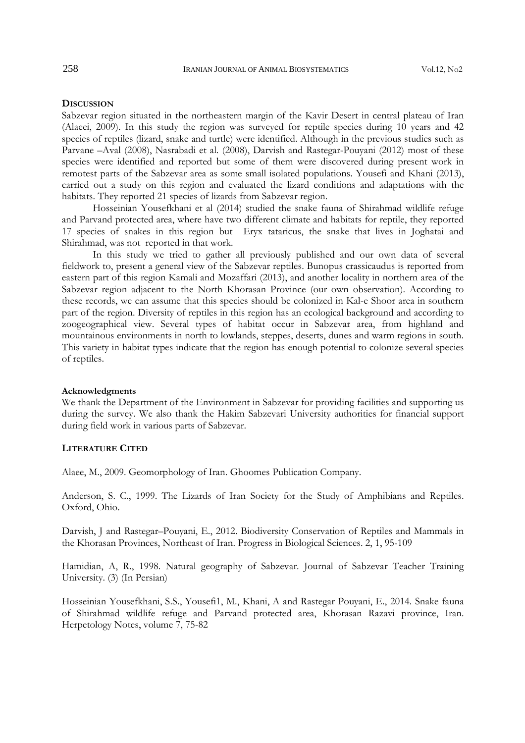## **DISCUSSION**

Sabzevar region situated in the northeastern margin of the Kavir Desert in central plateau of Iran (Alaeei, 2009). In this study the region was surveyed for reptile species during 10 years and 42 species of reptiles (lizard, snake and turtle) were identified. Although in the previous studies such as Parvane –Aval (2008), Nasrabadi et al. (2008), Darvish and Rastegar-Pouyani (2012) most of these species were identified and reported but some of them were discovered during present work in remotest parts of the Sabzevar area as some small isolated populations. Yousefi and Khani (2013), carried out a study on this region and evaluated the lizard conditions and adaptations with the habitats. They reported 21 species of lizards from Sabzevar region.

Hosseinian Yousefkhani et al (2014) studied the snake fauna of Shirahmad wildlife refuge and Parvand protected area, where have two different climate and habitats for reptile, they reported 17 species of snakes in this region but Eryx tataricus, the snake that lives in Joghatai and Shirahmad, was not reported in that work.

In this study we tried to gather all previously published and our own data of several fieldwork to, present a general view of the Sabzevar reptiles. Bunopus crassicaudus is reported from eastern part of this region Kamali and Mozaffari (2013), and another locality in northern area of the Sabzevar region adjacent to the North Khorasan Province (our own observation). According to these records, we can assume that this species should be colonized in Kal-e Shoor area in southern part of the region. Diversity of reptiles in this region has an ecological background and according to zoogeographical view. Several types of habitat occur in Sabzevar area, from highland and mountainous environments in north to lowlands, steppes, deserts, dunes and warm regions in south. This variety in habitat types indicate that the region has enough potential to colonize several species of reptiles.

### **Acknowledgments**

We thank the Department of the Environment in Sabzevar for providing facilities and supporting us during the survey. We also thank the Hakim Sabzevari University authorities for financial support during field work in various parts of Sabzevar.

# **LITERATURE CITED**

Alaee, M., 2009. Geomorphology of Iran. Ghoomes Publication Company.

Anderson, S. C., 1999. The Lizards of Iran Society for the Study of Amphibians and Reptiles. Oxford, Ohio.

Darvish, J and Rastegar–Pouyani, E., 2012. Biodiversity Conservation of Reptiles and Mammals in the Khorasan Provinces, Northeast of Iran. Progress in Biological Sciences. 2, 1, 95-109

Hamidian, A, R., 1998. Natural geography of Sabzevar. Journal of Sabzevar Teacher Training University. (3) (In Persian)

Hosseinian Yousefkhani, S.S., Yousefi1, M., Khani, A and Rastegar Pouyani, E., 2014. Snake fauna of Shirahmad wildlife refuge and Parvand protected area, Khorasan Razavi province, Iran. Herpetology Notes, volume 7, 75-82